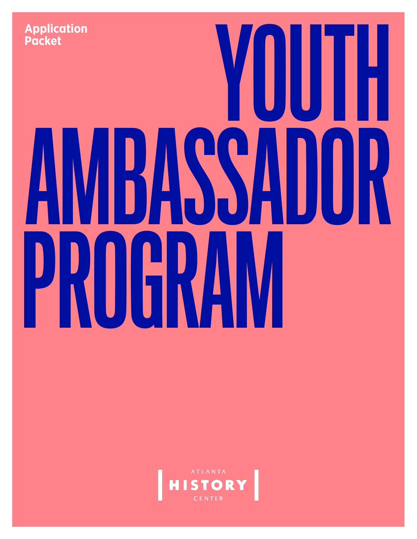

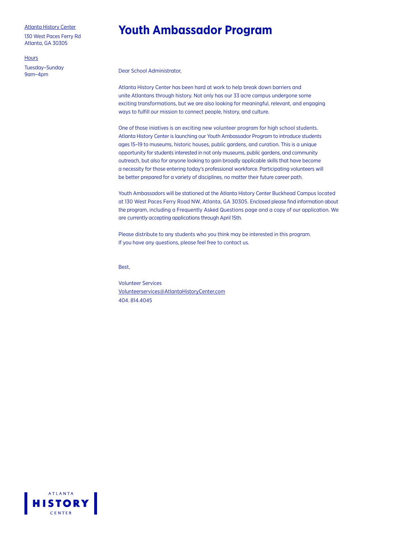130 West Paces Ferry Rd Atlanta, GA 30305

**Hours** 

Tuesday–Sunday 9am–4pm

### **Youth Ambassador Program**

Dear School Administrator,

Atlanta History Center has been hard at work to help break down barriers and unite Atlantans through history. Not only has our 33 acre campus undergone some exciting transformations, but we are also looking for meaningful, relevant, and engaging ways to fulfill our mission to connect people, history, and culture.

One of those iniatives is an exciting new volunteer program for high school students. Atlanta History Center is launching our Youth Ambassador Program to introduce students ages 15–19 to museums, historic houses, public gardens, and curation. This is a unique opportunity for students interested in not only museums, public gardens, and community outreach, but also for anyone looking to gain broadly applicable skills that have become a necessity for those entering today's professional workforce. Participating volunteers will be better prepared for a variety of disciplines, no matter their future career path.

Youth Ambassadors will be stationed at the Atlanta History Center Buckhead Campus located at 130 West Paces Ferry Road NW, Atlanta, GA 30305. Enclosed please find information about the program, including a Frequently Asked Questions page and a copy of our application. We are currently accepting applications through April 15th.

Please distribute to any students who you think may be interested in this program. If you have any questions, please feel free to contact us.

Best,

Volunteer Services Volunteerservices@AtlantaHistoryCenter.com 404. 814.4045

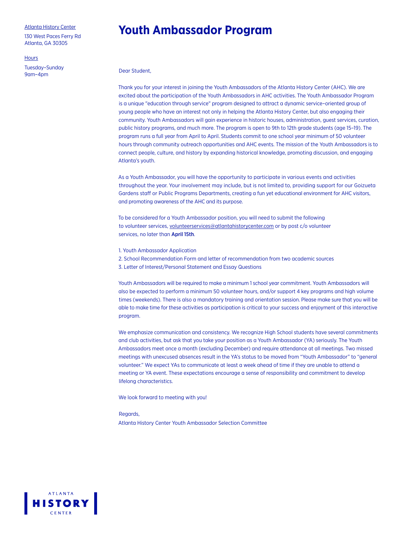130 West Paces Ferry Rd Atlanta, GA 30305

#### **Hours**

Tuesday–Sunday 9am–4pm

### **Youth Ambassador Program**

Dear Student,

Thank you for your interest in joining the Youth Ambassadors of the Atlanta History Center (AHC). We are excited about the participation of the Youth Ambassadors in AHC activities. The Youth Ambassador Program is a unique "education through service" program designed to attract a dynamic service–oriented group of young people who have an interest not only in helping the Atlanta History Center, but also engaging their community. Youth Ambassadors will gain experience in historic houses, administration, guest services, curation, public history programs, and much more. The program is open to 9th to 12th grade students (age 15–19). The program runs a full year from April to April. Students commit to one school year minimum of 50 volunteer hours through community outreach opportunities and AHC events. The mission of the Youth Ambassadors is to connect people, culture, and history by expanding historical knowledge, promoting discussion, and engaging Atlanta's youth.

As a Youth Ambassador, you will have the opportunity to participate in various events and activities throughout the year. Your involvement may include, but is not limited to, providing support for our Goizueta Gardens staff or Public Programs Departments, creating a fun yet educational environment for AHC visitors, and promoting awareness of the AHC and its purpose.

To be considered for a Youth Ambassador position, you will need to submit the following to volunteer services, volunteerservices@atlantahistorycenter.com or by post c/o volunteer services, no later than April 15th.

- 1. Youth Ambassador Application
- 2. School Recommendation Form and letter of recommendation from two academic sources
- 3. Letter of Interest/Personal Statement and Essay Questions

Youth Ambassadors will be required to make a minimum 1 school year commitment. Youth Ambassadors will also be expected to perform a minimum 50 volunteer hours, and/or support 4 key programs and high volume times (weekends). There is also a mandatory training and orientation session. Please make sure that you will be able to make time for these activities as participation is critical to your success and enjoyment of this interactive program.

We emphasize communication and consistency. We recognize High School students have several commitments and club activities, but ask that you take your position as a Youth Ambassador (YA) seriously. The Youth Ambassadors meet once a month (excluding December) and require attendance at all meetings. Two missed meetings with unexcused absences result in the YA's status to be moved from "Youth Ambassador" to "general volunteer." We expect YAs to communicate at least a week ahead of time if they are unable to attend a meeting or YA event. These expectations encourage a sense of responsibility and commitment to develop lifelong characteristics.

We look forward to meeting with you!

#### Regards,

Atlanta History Center Youth Ambassador Selection Committee

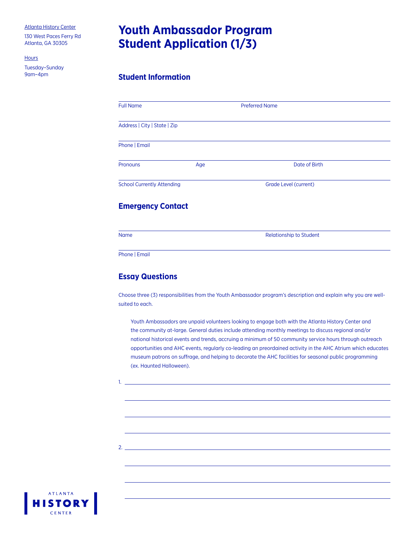130 West Paces Ferry Rd Atlanta, GA 30305

**Hours** 

Tuesday–Sunday

# **Youth Ambassador Program Student Application (1/3)**

### **Student Information**

| <b>Full Name</b>                  |     | <b>Preferred Name</b>        |  |
|-----------------------------------|-----|------------------------------|--|
| Address   City   State   Zip      |     |                              |  |
| Phone   Email                     |     |                              |  |
| Pronouns                          | Age | Date of Birth                |  |
| <b>School Currently Attending</b> |     | <b>Grade Level (current)</b> |  |
| <b>Emergency Contact</b>          |     |                              |  |
|                                   |     |                              |  |

Phone | Email

### **Essay Questions**

Choose three (3) responsibilities from the Youth Ambassador program's description and explain why you are wellsuited to each.

Youth Ambassadors are unpaid volunteers looking to engage both with the Atlanta History Center and the community at-large. General duties include attending monthly meetings to discuss regional and/or national historical events and trends, accruing a minimum of 50 community service hours through outreach opportunities and AHC events, regularly co-leading an preordained activity in the AHC Atrium which educates museum patrons on suffrage, and helping to decorate the AHC facilities for seasonal public programming (ex. Haunted Halloween).

1.

 $2.$ 

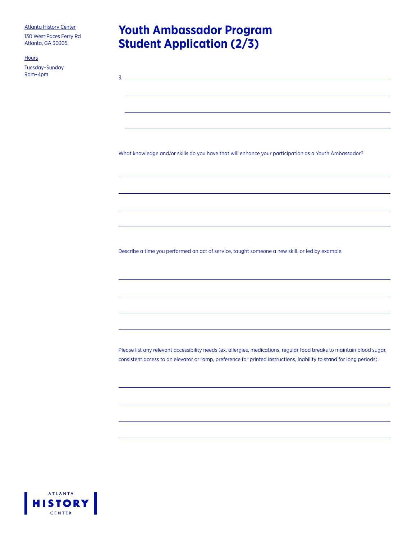130 West Paces Ferry Rd Atlanta, GA 30305

Hours

Tuesday–Sunday  $9$ am–4pm  $3.1$ 

# **Youth Ambassador Program Student Application (2/3)**

What knowledge and/or skills do you have that will enhance your participation as a Youth Ambassador?

Describe a time you performed an act of service, taught someone a new skill, or led by example.

Please list any relevant accessibility needs (ex. allergies, medications, regular food breaks to maintain blood sugar, consistent access to an elevator or ramp, preference for printed instructions, inability to stand for long periods).

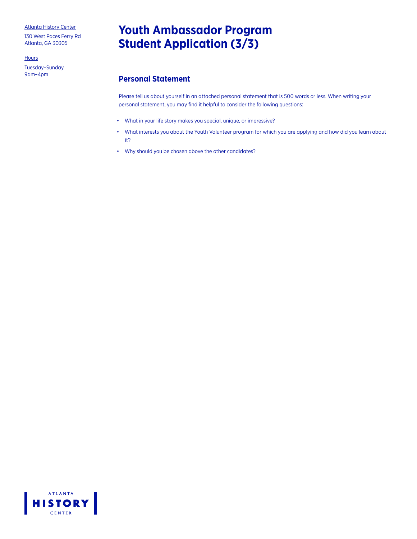130 West Paces Ferry Rd Atlanta, GA 30305

**Hours** 

Tuesday–Sunday

# **Youth Ambassador Program Student Application (3/3)**

### **Personal Statement**

Please tell us about yourself in an attached personal statement that is 500 words or less. When writing your personal statement, you may find it helpful to consider the following questions:

- What in your life story makes you special, unique, or impressive?
- What interests you about the Youth Volunteer program for which you are applying and how did you learn about it?
- Why should you be chosen above the other candidates?

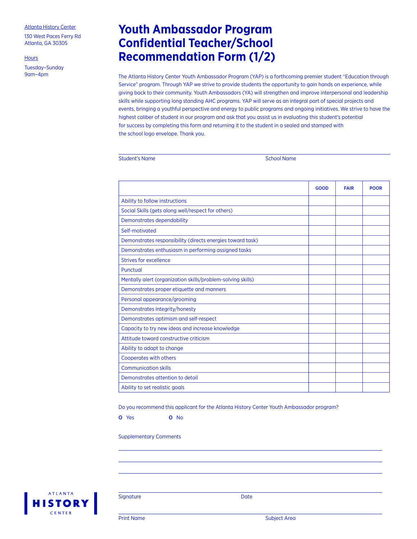130 West Paces Ferry Rd Atlanta, GA 30305

**Hours** 

Tuesday–Sunday

# **Youth Ambassador Program Confidential Teacher/School Recommendation Form (1/2)**

The Atlanta History Center Youth Ambassador Program (YAP) is a forthcoming premier student "Education through Service" program. Through YAP we strive to provide students the opportunity to gain hands on experience, while giving back to their community. Youth Ambassadors (YA) will strengthen and improve interpersonal and leadership skills while supporting long standing AHC programs. YAP will serve as an integral part of special projects and events, bringing a youthful perspective and energy to public programs and ongoing initiatives. We strive to have the highest caliber of student in our program and ask that you assist us in evaluating this student's potential for success by completing this form and returning it to the student in a sealed and stamped with the school logo envelope. Thank you.

|  | <b>Student's Name</b> |
|--|-----------------------|
|  |                       |

School Name

|                                                             | <b>GOOD</b> | <b>FAIR</b> | <b>POOR</b> |
|-------------------------------------------------------------|-------------|-------------|-------------|
| Ability to follow instructions                              |             |             |             |
| Social Skills (gets along well/respect for others)          |             |             |             |
| Demonstrates dependability                                  |             |             |             |
| Self-motivated                                              |             |             |             |
| Demonstrates responsibility (directs energies toward task)  |             |             |             |
| Demonstrates enthusiasm in performing assigned tasks        |             |             |             |
| Strives for excellence                                      |             |             |             |
| Punctual                                                    |             |             |             |
| Mentally alert (organization skills/problem-solving skills) |             |             |             |
| Demonstrates proper etiquette and manners                   |             |             |             |
| Personal appearance/grooming                                |             |             |             |
| Demonstrates integrity/honesty                              |             |             |             |
| Demonstrates optimism and self-respect                      |             |             |             |
| Capacity to try new ideas and increase knowledge            |             |             |             |
| Attitude toward constructive criticism                      |             |             |             |
| Ability to adapt to change                                  |             |             |             |
| Cooperates with others                                      |             |             |             |
| <b>Communication skills</b>                                 |             |             |             |
| Demonstrates attention to detail                            |             |             |             |
| Ability to set realistic goals                              |             |             |             |

Do you recommend this applicant for the Atlanta History Center Youth Ambassador program?

O Yes O No

Supplementary Comments



Signature Date Date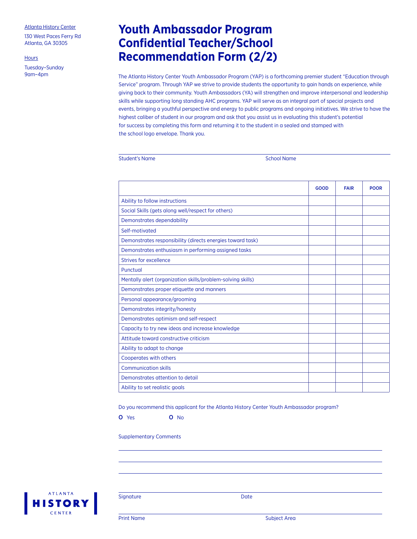130 West Paces Ferry Rd Atlanta, GA 30305

**Hours** 

Tuesday–Sunday

# **Youth Ambassador Program Confidential Teacher/School Recommendation Form (2/2)**

The Atlanta History Center Youth Ambassador Program (YAP) is a forthcoming premier student "Education through Service" program. Through YAP we strive to provide students the opportunity to gain hands on experience, while giving back to their community. Youth Ambassadors (YA) will strengthen and improve interpersonal and leadership skills while supporting long standing AHC programs. YAP will serve as an integral part of special projects and events, bringing a youthful perspective and energy to public programs and ongoing initiatives. We strive to have the highest caliber of student in our program and ask that you assist us in evaluating this student's potential for success by completing this form and returning it to the student in a sealed and stamped with the school logo envelope. Thank you.

School Name

|                                                             | GOOD | <b>FAIR</b> | <b>POOR</b> |
|-------------------------------------------------------------|------|-------------|-------------|
| Ability to follow instructions                              |      |             |             |
| Social Skills (gets along well/respect for others)          |      |             |             |
| Demonstrates dependability                                  |      |             |             |
| Self-motivated                                              |      |             |             |
| Demonstrates responsibility (directs energies toward task)  |      |             |             |
| Demonstrates enthusiasm in performing assigned tasks        |      |             |             |
| Strives for excellence                                      |      |             |             |
| Punctual                                                    |      |             |             |
| Mentally alert (organization skills/problem-solving skills) |      |             |             |
| Demonstrates proper etiquette and manners                   |      |             |             |
| Personal appearance/grooming                                |      |             |             |
| Demonstrates integrity/honesty                              |      |             |             |
| Demonstrates optimism and self-respect                      |      |             |             |
| Capacity to try new ideas and increase knowledge            |      |             |             |
| Attitude toward constructive criticism                      |      |             |             |
| Ability to adapt to change                                  |      |             |             |
| Cooperates with others                                      |      |             |             |
| <b>Communication skills</b>                                 |      |             |             |
| Demonstrates attention to detail                            |      |             |             |
| Ability to set realistic goals                              |      |             |             |

Do you recommend this applicant for the Atlanta History Center Youth Ambassador program?

O Yes O No

Supplementary Comments



Signature Date Date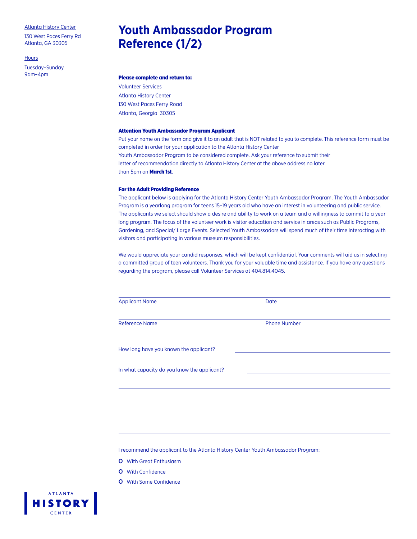130 West Paces Ferry Rd Atlanta, GA 30305

#### **Hours**

Tuesday–Sunday

# **Youth Ambassador Program Reference (1/2)**

### 9am–4pm Please complete and return to:

Volunteer Services Atlanta History Center 130 West Paces Ferry Road Atlanta, Georgia 30305

#### Attention Youth Ambassador Program Applicant

Put your name on the form and give it to an adult that is NOT related to you to complete. This reference form must be completed in order for your application to the Atlanta History Center Youth Ambassador Program to be considered complete. Ask your reference to submit their letter of recommendation directly to Atlanta History Center at the above address no later than 5pm on **March 1st**.

#### For the Adult Providing Reference

The applicant below is applying for the Atlanta History Center Youth Ambassador Program. The Youth Ambassador Program is a yearlong program for teens 15–19 years old who have an interest in volunteering and public service. The applicants we select should show a desire and ability to work on a team and a willingness to commit to a year long program. The focus of the volunteer work is visitor education and service in areas such as Public Programs, Gardening, and Special/ Large Events. Selected Youth Ambassadors will spend much of their time interacting with visitors and participating in various museum responsibilities.

We would appreciate your candid responses, which will be kept confidential. Your comments will aid us in selecting a committed group of teen volunteers. Thank you for your valuable time and assistance. If you have any questions regarding the program, please call Volunteer Services at 404.814.4045.

| <b>Applicant Name</b>                       | Date                |  |
|---------------------------------------------|---------------------|--|
| <b>Reference Name</b>                       | <b>Phone Number</b> |  |
| How long have you known the applicant?      |                     |  |
| In what capacity do you know the applicant? |                     |  |
|                                             |                     |  |
|                                             |                     |  |
|                                             |                     |  |

I recommend the applicant to the Atlanta History Center Youth Ambassador Program:

- O With Great Enthusiasm
- O With Confidence
- O With Some Confidence

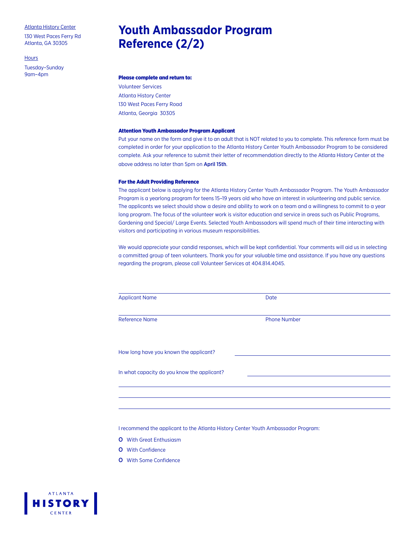130 West Paces Ferry Rd Atlanta, GA 30305

**Hours** 

Tuesday–Sunday

# **Youth Ambassador Program Reference (2/2)**

### 9am–4pm Please complete and return to:

Volunteer Services Atlanta History Center 130 West Paces Ferry Road Atlanta, Georgia 30305

#### Attention Youth Ambassador Program Applicant

Put your name on the form and give it to an adult that is NOT related to you to complete. This reference form must be completed in order for your application to the Atlanta History Center Youth Ambassador Program to be considered complete. Ask your reference to submit their letter of recommendation directly to the Atlanta History Center at the above address no later than 5pm on April 15th.

#### For the Adult Providing Reference

The applicant below is applying for the Atlanta History Center Youth Ambassador Program. The Youth Ambassador Program is a yearlong program for teens 15–19 years old who have an interest in volunteering and public service. The applicants we select should show a desire and ability to work on a team and a willingness to commit to a year long program. The focus of the volunteer work is visitor education and service in areas such as Public Programs, Gardening and Special/ Large Events. Selected Youth Ambassadors will spend much of their time interacting with visitors and participating in various museum responsibilities.

We would appreciate your candid responses, which will be kept confidential. Your comments will aid us in selecting a committed group of teen volunteers. Thank you for your valuable time and assistance. If you have any questions regarding the program, please call Volunteer Services at 404.814.4045.

| <b>Applicant Name</b>                       | Date                |
|---------------------------------------------|---------------------|
| <b>Reference Name</b>                       | <b>Phone Number</b> |
| How long have you known the applicant?      |                     |
| In what capacity do you know the applicant? |                     |
|                                             |                     |
|                                             |                     |

I recommend the applicant to the Atlanta History Center Youth Ambassador Program:

- O With Great Enthusiasm
- O With Confidence
- O With Some Confidence

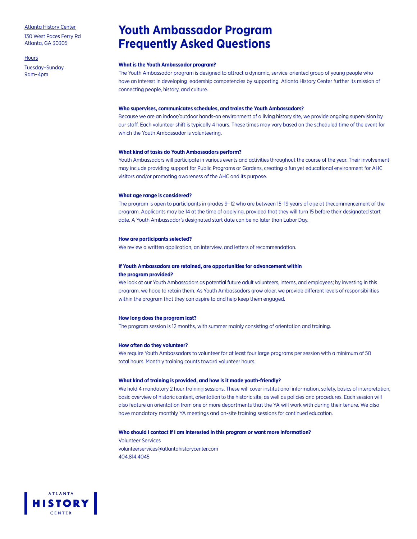130 West Paces Ferry Rd Atlanta, GA 30305

**Hours** 

Tuesday–Sunday 9am–4pm

### **Youth Ambassador Program Frequently Asked Questions**

#### **What is the Youth Ambassador program?**

The Youth Ambassador program is designed to attract a dynamic, service-oriented group of young people who have an interest in developing leadership competencies by supporting Atlanta History Center further its mission of connecting people, history, and culture.

#### **Who supervises, communicates schedules, and trains the Youth Ambassadors?**

Because we are an indoor/outdoor hands-on environment of a living history site, we provide ongoing supervision by our staff. Each volunteer shift is typically 4 hours. These times may vary based on the scheduled time of the event for which the Youth Ambassador is volunteering.

#### **What kind of tasks do Youth Ambassadors perform?**

Youth Ambassadors will participate in various events and activities throughout the course of the year. Their involvement may include providing support for Public Programs or Gardens, creating a fun yet educational environment for AHC visitors and/or promoting awareness of the AHC and its purpose.

#### **What age range is considered?**

The program is open to participants in grades 9–12 who are between 15–19 years of age at thecommencement of the program. Applicants may be 14 at the time of applying, provided that they will turn 15 before their designated start date. A Youth Ambassador's designated start date can be no later than Labor Day.

#### **How are participants selected?**

We review a written application, an interview, and letters of recommendation.

#### **If Youth Ambassadors are retained, are opportunities for advancement within the program provided?**

We look at our Youth Ambassadors as potential future adult volunteers, interns, and employees; by investing in this program, we hope to retain them. As Youth Ambassadors grow older, we provide different levels of responsibilities within the program that they can aspire to and help keep them engaged.

#### **How long does the program last?**

The program session is 12 months, with summer mainly consisting of orientation and training.

#### **How often do they volunteer?**

We require Youth Ambassadors to volunteer for at least four large programs per session with a minimum of 50 total hours. Monthly training counts toward volunteer hours.

#### **What kind of training is provided, and how is it made youth-friendly?**

We hold 4 mandatory 2 hour training sessions. These will cover institutional information, safety, basics of interpretation, basic overview of historic content, orientation to the historic site, as well as policies and procedures. Each session will also feature an orientation from one or more departments that the YA will work with during their tenure. We also have mandatory monthly YA meetings and on-site training sessions for continued education.

#### **Who should I contact if I am interested in this program or want more information?**

Volunteer Services volunteerservices@atlantahistorycenter.com 404.814.4045